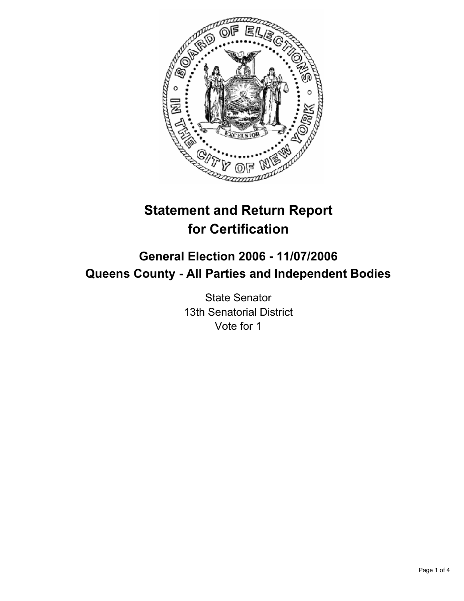

# **Statement and Return Report for Certification**

## **General Election 2006 - 11/07/2006 Queens County - All Parties and Independent Bodies**

State Senator 13th Senatorial District Vote for 1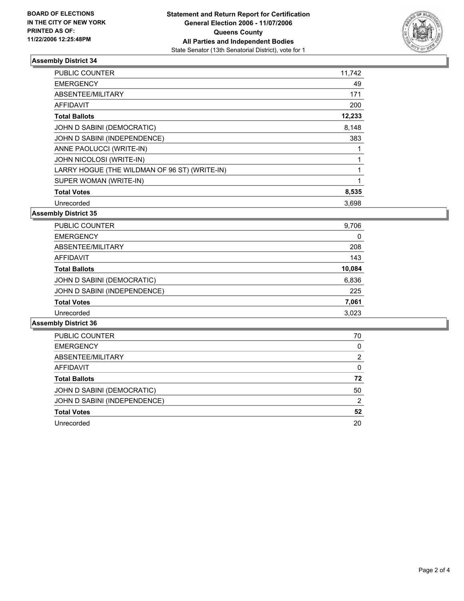

#### **Assembly District 34**

| <b>PUBLIC COUNTER</b>                         | 11,742 |  |
|-----------------------------------------------|--------|--|
| <b>EMERGENCY</b>                              | 49     |  |
| ABSENTEE/MILITARY                             | 171    |  |
| <b>AFFIDAVIT</b>                              | 200    |  |
| <b>Total Ballots</b>                          | 12,233 |  |
| JOHN D SABINI (DEMOCRATIC)                    | 8,148  |  |
| JOHN D SABINI (INDEPENDENCE)                  | 383    |  |
| ANNE PAOLUCCI (WRITE-IN)                      |        |  |
| JOHN NICOLOSI (WRITE-IN)                      |        |  |
| LARRY HOGUE (THE WILDMAN OF 96 ST) (WRITE-IN) |        |  |
| SUPER WOMAN (WRITE-IN)                        |        |  |
| <b>Total Votes</b>                            | 8,535  |  |
| Unrecorded                                    | 3.698  |  |

**Assembly District 35**

| PUBLIC COUNTER               | 9,706  |
|------------------------------|--------|
| <b>EMERGENCY</b>             | 0      |
| ABSENTEE/MILITARY            | 208    |
| AFFIDAVIT                    | 143    |
| <b>Total Ballots</b>         | 10,084 |
| JOHN D SABINI (DEMOCRATIC)   | 6,836  |
| JOHN D SABINI (INDEPENDENCE) | 225    |
| <b>Total Votes</b>           | 7,061  |
| Unrecorded                   | 3.023  |

**Assembly District 36**

| PUBLIC COUNTER               | 70 |
|------------------------------|----|
| <b>EMERGENCY</b>             | U  |
| ABSENTEE/MILITARY            |    |
| <b>AFFIDAVIT</b>             | 0  |
| <b>Total Ballots</b>         | 72 |
| JOHN D SABINI (DEMOCRATIC)   | 50 |
| JOHN D SABINI (INDEPENDENCE) | າ  |
| <b>Total Votes</b>           | 52 |
| Unrecorded                   | 20 |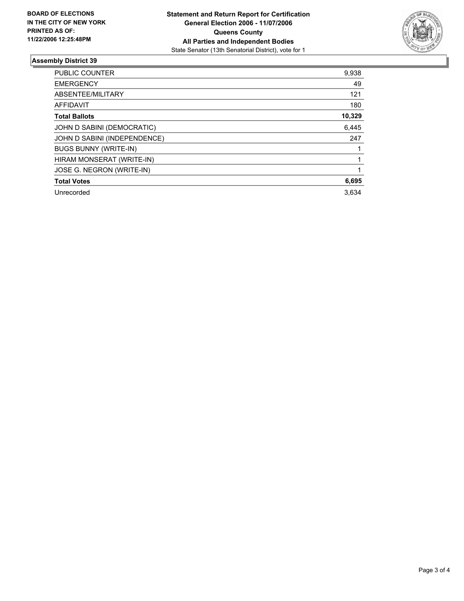

### **Assembly District 39**

| <b>PUBLIC COUNTER</b>        | 9,938  |
|------------------------------|--------|
| <b>EMERGENCY</b>             | 49     |
| ABSENTEE/MILITARY            | 121    |
| AFFIDAVIT                    | 180    |
| <b>Total Ballots</b>         | 10,329 |
| JOHN D SABINI (DEMOCRATIC)   | 6,445  |
| JOHN D SABINI (INDEPENDENCE) | 247    |
| <b>BUGS BUNNY (WRITE-IN)</b> |        |
| HIRAM MONSERAT (WRITE-IN)    |        |
| JOSE G. NEGRON (WRITE-IN)    |        |
| <b>Total Votes</b>           | 6,695  |
| Unrecorded                   | 3,634  |